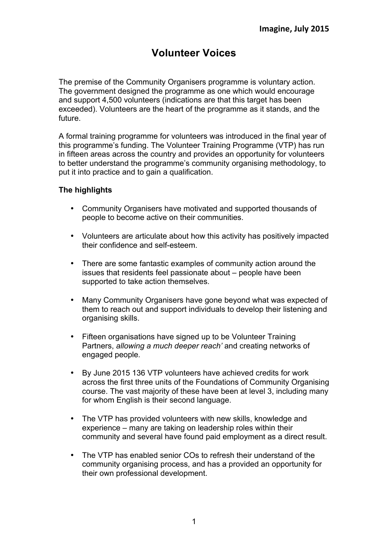# **Volunteer Voices**

The premise of the Community Organisers programme is voluntary action. The government designed the programme as one which would encourage and support 4,500 volunteers (indications are that this target has been exceeded). Volunteers are the heart of the programme as it stands, and the future.

A formal training programme for volunteers was introduced in the final year of this programme's funding. The Volunteer Training Programme (VTP) has run in fifteen areas across the country and provides an opportunity for volunteers to better understand the programme's community organising methodology, to put it into practice and to gain a qualification.

# **The highlights**

- Community Organisers have motivated and supported thousands of people to become active on their communities.
- Volunteers are articulate about how this activity has positively impacted their confidence and self-esteem.
- There are some fantastic examples of community action around the issues that residents feel passionate about – people have been supported to take action themselves.
- Many Community Organisers have gone beyond what was expected of them to reach out and support individuals to develop their listening and organising skills.
- Fifteen organisations have signed up to be Volunteer Training Partners, *allowing a much deeper reach'* and creating networks of engaged people*.*
- By June 2015 136 VTP volunteers have achieved credits for work across the first three units of the Foundations of Community Organising course. The vast majority of these have been at level 3, including many for whom English is their second language.
- The VTP has provided volunteers with new skills, knowledge and experience – many are taking on leadership roles within their community and several have found paid employment as a direct result.
- The VTP has enabled senior COs to refresh their understand of the community organising process, and has a provided an opportunity for their own professional development.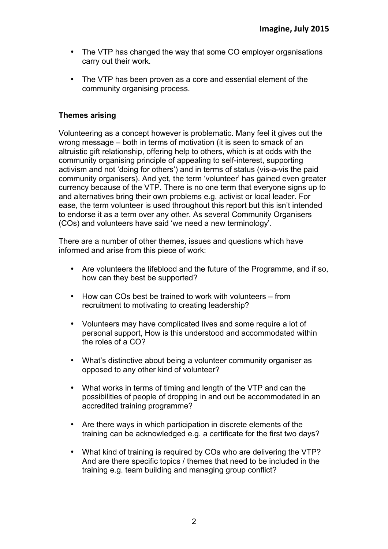- The VTP has changed the way that some CO employer organisations carry out their work.
- The VTP has been proven as a core and essential element of the community organising process.

# **Themes arising**

Volunteering as a concept however is problematic. Many feel it gives out the wrong message – both in terms of motivation (it is seen to smack of an altruistic gift relationship, offering help to others, which is at odds with the community organising principle of appealing to self-interest, supporting activism and not 'doing for others') and in terms of status (vis-a-vis the paid community organisers). And yet, the term 'volunteer' has gained even greater currency because of the VTP. There is no one term that everyone signs up to and alternatives bring their own problems e.g. activist or local leader. For ease, the term volunteer is used throughout this report but this isn't intended to endorse it as a term over any other. As several Community Organisers (COs) and volunteers have said 'we need a new terminology'.

There are a number of other themes, issues and questions which have informed and arise from this piece of work:

- Are volunteers the lifeblood and the future of the Programme, and if so, how can they best be supported?
- How can COs best be trained to work with volunteers from recruitment to motivating to creating leadership?
- Volunteers may have complicated lives and some require a lot of personal support, How is this understood and accommodated within the roles of a CO?
- What's distinctive about being a volunteer community organiser as opposed to any other kind of volunteer?
- What works in terms of timing and length of the VTP and can the possibilities of people of dropping in and out be accommodated in an accredited training programme?
- Are there ways in which participation in discrete elements of the training can be acknowledged e.g. a certificate for the first two days?
- What kind of training is required by COs who are delivering the VTP? And are there specific topics / themes that need to be included in the training e.g. team building and managing group conflict?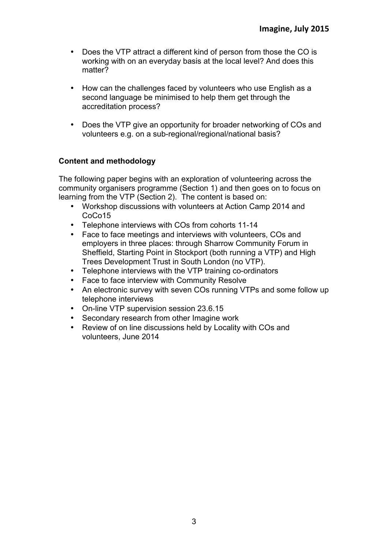- Does the VTP attract a different kind of person from those the CO is working with on an everyday basis at the local level? And does this matter?
- How can the challenges faced by volunteers who use English as a second language be minimised to help them get through the accreditation process?
- Does the VTP give an opportunity for broader networking of COs and volunteers e.g. on a sub-regional/regional/national basis?

# **Content and methodology**

The following paper begins with an exploration of volunteering across the community organisers programme (Section 1) and then goes on to focus on learning from the VTP (Section 2). The content is based on:

- Workshop discussions with volunteers at Action Camp 2014 and CoCo15
- Telephone interviews with COs from cohorts 11-14
- Face to face meetings and interviews with volunteers, COs and employers in three places: through Sharrow Community Forum in Sheffield, Starting Point in Stockport (both running a VTP) and High Trees Development Trust in South London (no VTP).
- Telephone interviews with the VTP training co-ordinators
- 
- Face to face interview with Community Resolve<br>• An electronic survey with seven COs running VT • An electronic survey with seven COs running VTPs and some follow up telephone interviews
- On-line VTP supervision session 23.6.15
- Secondary research from other Imagine work
- Review of on line discussions held by Locality with COs and volunteers, June 2014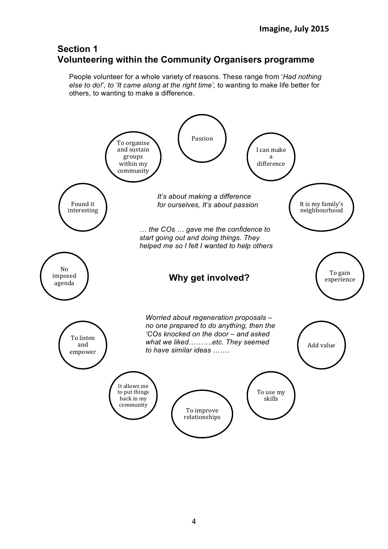# **Section 1 Volunteering within the Community Organisers programme**

People volunteer for a whole variety of reasons. These range from '*Had nothing else to do!', to 'It came along at the right time',* to wanting to make life better for others, to wanting to make a difference.

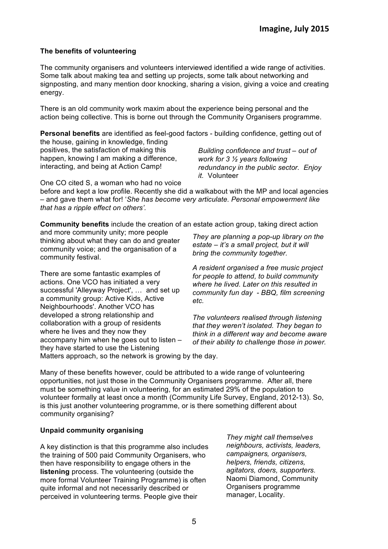# **The benefits of volunteering**

The community organisers and volunteers interviewed identified a wide range of activities. Some talk about making tea and setting up projects, some talk about networking and signposting, and many mention door knocking, sharing a vision, giving a voice and creating energy.

There is an old community work maxim about the experience being personal and the action being collective. This is borne out through the Community Organisers programme.

**Personal benefits** are identified as feel-good factors - building confidence, getting out of the house, gaining in knowledge, finding positives, the satisfaction of making this happen, knowing I am making a difference, interacting, and being at Action Camp! *Building confidence and trust – out of work for 3 ½ years following redundancy in the public sector. Enjoy it.* Volunteer

One CO cited S, a woman who had no voice

before and kept a low profile. Recently she did a walkabout with the MP and local agencies – and gave them what for! '*She has become very articulate. Personal empowerment like that has a ripple effect on others'.*

**Community benefits** include the creation of an estate action group, taking direct action

and more community unity; more people thinking about what they can do and greater community voice; and the organisation of a community festival.

There are some fantastic examples of actions. One VCO has initiated a very successful 'Alleyway Project', … and set up a community group: Active Kids, Active Neighbourhoods'. Another VCO has developed a strong relationship and collaboration with a group of residents where he lives and they now they accompany him when he goes out to listen – they have started to use the Listening

*They are planning a pop-up library on the estate – it's a small project, but it will bring the community together.*

*A resident organised a free music project for people to attend, to build community where he lived. Later on this resulted in community fun day - BBQ, film screening etc.*

*The volunteers realised through listening that they weren't isolated. They began to think in a different way and become aware of their ability to challenge those in power.*

Matters approach, so the network is growing by the day.

Many of these benefits however, could be attributed to a wide range of volunteering opportunities, not just those in the Community Organisers programme. After all, there must be something value in volunteering, for an estimated 29% of the population to volunteer formally at least once a month (Community Life Survey, England, 2012-13). So, is this just another volunteering programme, or is there something different about community organising?

# **Unpaid community organising**

A key distinction is that this programme also includes the training of 500 paid Community Organisers, who then have responsibility to engage others in the **listening** process. The volunteering (outside the more formal Volunteer Training Programme) is often quite informal and not necessarily described or perceived in volunteering terms. People give their

*They might call themselves neighbours, activists, leaders, campaigners, organisers, helpers, friends, citizens, agitators, doers, supporters.*  Naomi Diamond, Community Organisers programme manager, Locality.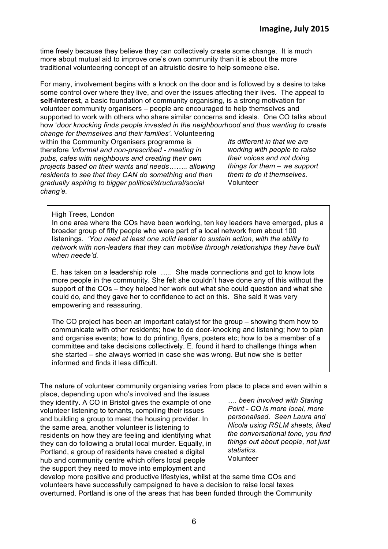time freely because they believe they can collectively create some change. It is much more about mutual aid to improve one's own community than it is about the more traditional volunteering concept of an altruistic desire to help someone else.

For many, involvement begins with a knock on the door and is followed by a desire to take some control over where they live, and over the issues affecting their lives. The appeal to **self-interest**, a basic foundation of community organising, is a strong motivation for volunteer community organisers – people are encouraged to help themselves and supported to work with others who share similar concerns and ideals. One CO talks about how '*door knocking finds people invested in the neighbourhood and thus wanting to create change for themselves and their families'*. Volunteering

within the Community Organisers programme is therefore *'informal and non-prescribed* - *meeting in pubs, cafes with neighbours and creating their own projects based on their wants and needs…….. allowing residents to see that they CAN do something and then gradually aspiring to bigger political/structural/social chang'e.* 

*Its different in that we are working with people to raise their voices and not doing things for them – we support them to do it themselves.* Volunteer

#### High Trees, London

In one area where the COs have been working, ten key leaders have emerged, plus a broader group of fifty people who were part of a local network from about 100 listenings. *'You need at least one solid leader to sustain action, with the ability to network with non-leaders that they can mobilise through relationships they have built when neede'd.*

E. has taken on a leadership role ….. She made connections and got to know lots more people in the community. She felt she couldn't have done any of this without the support of the COs – they helped her work out what she could question and what she could do, and they gave her to confidence to act on this. She said it was very empowering and reassuring.

The CO project has been an important catalyst for the group – showing them how to communicate with other residents; how to do door-knocking and listening; how to plan and organise events; how to do printing, flyers, posters etc; how to be a member of a committee and take decisions collectively. E. found it hard to challenge things when she started – she always worried in case she was wrong. But now she is better informed and finds it less difficult.

The nature of volunteer community organising varies from place to place and even within a

place, depending upon who's involved and the issues they identify. A CO in Bristol gives the example of one volunteer listening to tenants, compiling their issues and building a group to meet the housing provider. In the same area, another volunteer is listening to residents on how they are feeling and identifying what they can do following a brutal local murder. Equally, in Portland, a group of residents have created a digital hub and community centre which offers local people the support they need to move into employment and

*…. been involved with Staring Point - CO is more local, more personalised. Seen Laura and Nicola using RSLM sheets, liked the conversational tone, you find things out about people, not just statistics.* Volunteer

develop more positive and productive lifestyles, whilst at the same time COs and volunteers have successfully campaigned to have a decision to raise local taxes overturned. Portland is one of the areas that has been funded through the Community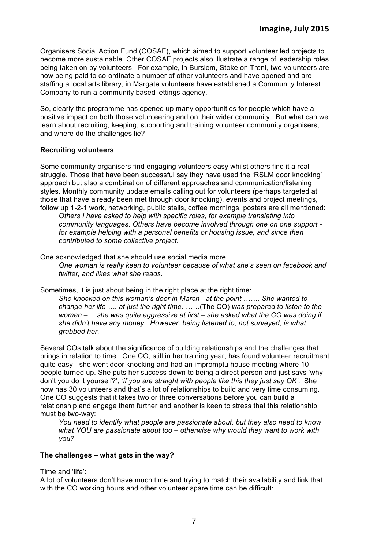Organisers Social Action Fund (COSAF), which aimed to support volunteer led projects to become more sustainable. Other COSAF projects also illustrate a range of leadership roles being taken on by volunteers. For example, in Burslem, Stoke on Trent, two volunteers are now being paid to co-ordinate a number of other volunteers and have opened and are staffing a local arts library; in Margate volunteers have established a Community Interest Company to run a community based lettings agency.

So, clearly the programme has opened up many opportunities for people which have a positive impact on both those volunteering and on their wider community. But what can we learn about recruiting, keeping, supporting and training volunteer community organisers, and where do the challenges lie?

# **Recruiting volunteers**

Some community organisers find engaging volunteers easy whilst others find it a real struggle. Those that have been successful say they have used the 'RSLM door knocking' approach but also a combination of different approaches and communication/listening styles. Monthly community update emails calling out for volunteers (perhaps targeted at those that have already been met through door knocking), events and project meetings, follow up 1-2-1 work, networking, public stalls, coffee mornings, posters are all mentioned:

*Others I have asked to help with specific roles, for example translating into community languages. Others have become involved through one on one support for example helping with a personal benefits or housing issue, and since then contributed to some collective project.*

One acknowledged that she should use social media more:

*One woman is really keen to volunteer because of what she's seen on facebook and twitter, and likes what she reads.*

Sometimes, it is just about being in the right place at the right time:

*She knocked on this woman's door in March - at the point ……. She wanted to change her life …. at just the right time. ……*(The CO) *was prepared to listen to the woman – …she was quite aggressive at first – she asked what the CO was doing if she didn't have any money. However, being listened to, not surveyed, is what grabbed her.* 

Several COs talk about the significance of building relationships and the challenges that brings in relation to time. One CO, still in her training year, has found volunteer recruitment quite easy - she went door knocking and had an impromptu house meeting where 10 people turned up. She puts her success down to being a direct person and just says 'why don't you do it yourself?', *'if you are straight with people like this they just say OK'*. She now has 30 volunteers and that's a lot of relationships to build and very time consuming. One CO suggests that it takes two or three conversations before you can build a relationship and engage them further and another is keen to stress that this relationship must be two-way:

*You need to identify what people are passionate about, but they also need to know what YOU are passionate about too – otherwise why would they want to work with you?*

# **The challenges – what gets in the way?**

Time and 'life':

A lot of volunteers don't have much time and trying to match their availability and link that with the CO working hours and other volunteer spare time can be difficult: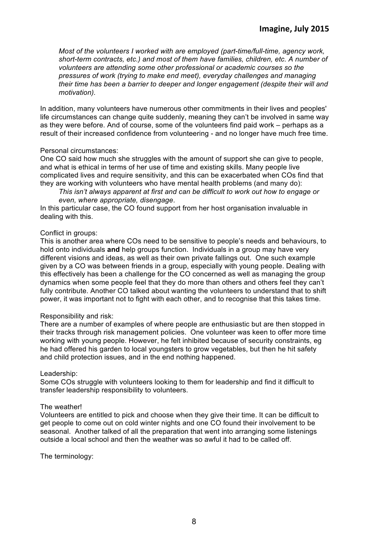*Most of the volunteers I worked with are employed (part-time/full-time, agency work, short-term contracts, etc.) and most of them have families, children, etc. A number of volunteers are attending some other professional or academic courses so the pressures of work (trying to make end meet), everyday challenges and managing their time has been a barrier to deeper and longer engagement (despite their will and motivation).* 

In addition, many volunteers have numerous other commitments in their lives and peoples' life circumstances can change quite suddenly, meaning they can't be involved in same way as they were before. And of course, some of the volunteers find paid work – perhaps as a result of their increased confidence from volunteering - and no longer have much free time.

#### Personal circumstances:

One CO said how much she struggles with the amount of support she can give to people, and what is ethical in terms of her use of time and existing skills. Many people live complicated lives and require sensitivity, and this can be exacerbated when COs find that they are working with volunteers who have mental health problems (and many do):

*This isn't always apparent at first and can be difficult to work out how to engage or even, where appropriate, disengage*.

In this particular case, the CO found support from her host organisation invaluable in dealing with this.

#### Conflict in groups:

This is another area where COs need to be sensitive to people's needs and behaviours, to hold onto individuals **and** help groups function. Individuals in a group may have very different visions and ideas, as well as their own private fallings out. One such example given by a CO was between friends in a group, especially with young people. Dealing with this effectively has been a challenge for the CO concerned as well as managing the group dynamics when some people feel that they do more than others and others feel they can't fully contribute. Another CO talked about wanting the volunteers to understand that to shift power, it was important not to fight with each other, and to recognise that this takes time.

#### Responsibility and risk:

There are a number of examples of where people are enthusiastic but are then stopped in their tracks through risk management policies. One volunteer was keen to offer more time working with young people. However, he felt inhibited because of security constraints, eg he had offered his garden to local youngsters to grow vegetables, but then he hit safety and child protection issues, and in the end nothing happened.

#### Leadership:

Some COs struggle with volunteers looking to them for leadership and find it difficult to transfer leadership responsibility to volunteers.

#### The weather!

Volunteers are entitled to pick and choose when they give their time. It can be difficult to get people to come out on cold winter nights and one CO found their involvement to be seasonal. Another talked of all the preparation that went into arranging some listenings outside a local school and then the weather was so awful it had to be called off.

The terminology: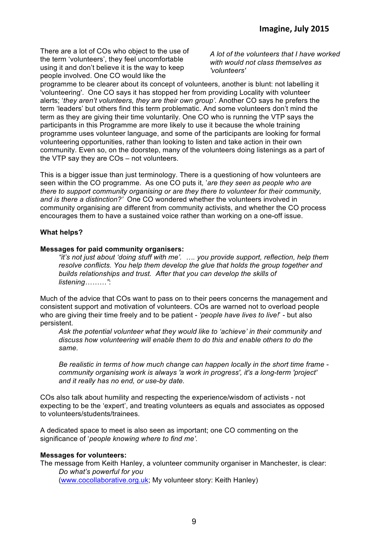There are a lot of COs who object to the use of the term 'volunteers', they feel uncomfortable using it and don't believe it is the way to keep people involved. One CO would like the

*A lot of the volunteers that I have worked with would not class themselves as 'volunteers'*

programme to be clearer about its concept of volunteers, another is blunt: not labelling it 'volunteering'. One CO says it has stopped her from providing Locality with volunteer alerts; '*they aren't volunteers, they are their own group'.* Another CO says he prefers the term 'leaders' but others find this term problematic. And some volunteers don't mind the term as they are giving their time voluntarily. One CO who is running the VTP says the participants in this Programme are more likely to use it because the whole training programme uses volunteer language, and some of the participants are looking for formal volunteering opportunities, rather than looking to listen and take action in their own community. Even so, on the doorstep, many of the volunteers doing listenings as a part of the VTP say they are COs – not volunteers.

This is a bigger issue than just terminology. There is a questioning of how volunteers are seen within the CO programme. As one CO puts it, '*are they seen as people who are there to support community organising or are they there to volunteer for their community, and is there a distinction?'* One CO wondered whether the volunteers involved in community organising are different from community activists, and whether the CO process encourages them to have a sustained voice rather than working on a one-off issue.

#### **What helps?**

#### **Messages for paid community organisers:**

*"it's not just about 'doing stuff with me'. …. you provide support, reflection, help them resolve conflicts. You help them develop the glue that holds the group together and builds relationships and trust. After that you can develop the skills of listening………"*:

Much of the advice that COs want to pass on to their peers concerns the management and consistent support and motivation of volunteers. COs are warned not to overload people who are giving their time freely and to be patient - *'people have lives to live!*' - but also persistent.

*Ask the potential volunteer what they would like to 'achieve' in their community and discuss how volunteering will enable them to do this and enable others to do the same.*

*Be realistic in terms of how much change can happen locally in the short time frame community organising work is always 'a work in progress', it's a long-term 'project' and it really has no end, or use-by date.*

COs also talk about humility and respecting the experience/wisdom of activists - not expecting to be the 'expert', and treating volunteers as equals and associates as opposed to volunteers/students/trainees.

A dedicated space to meet is also seen as important; one CO commenting on the significance of '*people knowing where to find me'.*

#### **Messages for volunteers:**

The message from Keith Hanley, a volunteer community organiser in Manchester, is clear: *Do what's powerful for you*  (www.cocollaborative.org.uk; My volunteer story: Keith Hanley)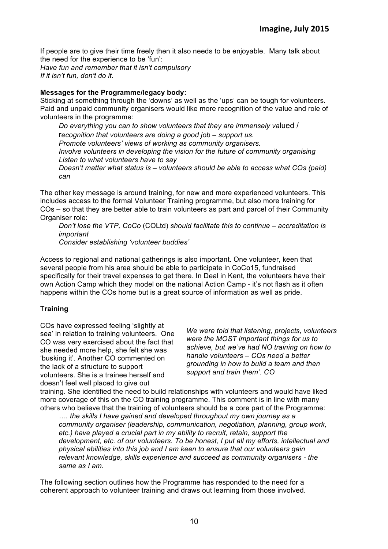If people are to give their time freely then it also needs to be enjoyable. Many talk about the need for the experience to be 'fun':

*Have fun and remember that it isn't compulsory If it isn't fun, don't do it.*

### **Messages for the Programme/legacy body:**

Sticking at something through the 'downs' as well as the 'ups' can be tough for volunteers. Paid and unpaid community organisers would like more recognition of the value and role of volunteers in the programme:

*Do everything you can to show volunteers that they are immensely va*lued / r*ecognition that volunteers are doing a good job – support us. Promote volunteers' views of working as community organisers. Involve volunteers in developing the vision for the future of community organising Listen to what volunteers have to say Doesn't matter what status is – volunteers should be able to access what COs (paid) can*

The other key message is around training, for new and more experienced volunteers. This includes access to the formal Volunteer Training programme, but also more training for COs – so that they are better able to train volunteers as part and parcel of their Community Organiser role:

*Don't lose the VTP, CoCo* (COLtd) *should facilitate this to continue – accreditation is important*

*Consider establishing 'volunteer buddies'*

Access to regional and national gatherings is also important. One volunteer, keen that several people from his area should be able to participate in CoCo15, fundraised specifically for their travel expenses to get there. In Deal in Kent, the volunteers have their own Action Camp which they model on the national Action Camp - it's not flash as it often happens within the COs home but is a great source of information as well as pride.

# T**raining**

COs have expressed feeling 'slightly at sea' in relation to training volunteers. One CO was very exercised about the fact that she needed more help, she felt she was 'busking it'. Another CO commented on the lack of a structure to support volunteers. She is a trainee herself and doesn't feel well placed to give out

*We were told that listening, projects, volunteers were the MOST important things for us to achieve, but we've had NO training on how to handle volunteers – COs need a better grounding in how to build a team and then support and train them'. CO*

training. She identified the need to build relationships with volunteers and would have liked more coverage of this on the CO training programme. This comment is in line with many others who believe that the training of volunteers should be a core part of the Programme:

*…. the skills I have gained and developed throughout my own journey as a community organiser (leadership, communication, negotiation, planning, group work, etc.) have played a crucial part in my ability to recruit, retain, support the development, etc. of our volunteers. To be honest, I put all my efforts, intellectual and physical abilities into this job and I am keen to ensure that our volunteers gain relevant knowledge, skills experience and succeed as community organisers - the same as I am.*

The following section outlines how the Programme has responded to the need for a coherent approach to volunteer training and draws out learning from those involved.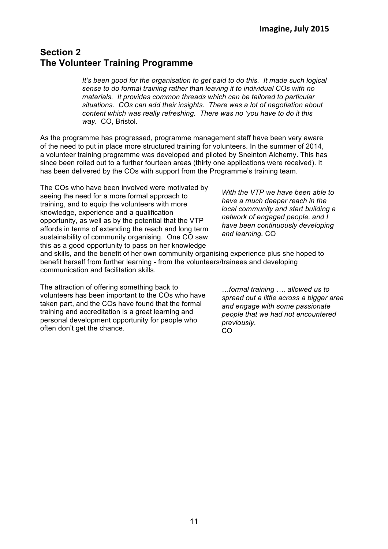# **Section 2 The Volunteer Training Programme**

*It's been good for the organisation to get paid to do this. It made such logical sense to do formal training rather than leaving it to individual COs with no materials. It provides common threads which can be tailored to particular situations. COs can add their insights. There was a lot of negotiation about content which was really refreshing. There was no 'you have to do it this way.* CO, Bristol.

As the programme has progressed, programme management staff have been very aware of the need to put in place more structured training for volunteers. In the summer of 2014, a volunteer training programme was developed and piloted by Sneinton Alchemy. This has since been rolled out to a further fourteen areas (thirty one applications were received). It has been delivered by the COs with support from the Programme's training team.

The COs who have been involved were motivated by seeing the need for a more formal approach to training, and to equip the volunteers with more knowledge, experience and a qualification opportunity, as well as by the potential that the VTP affords in terms of extending the reach and long term sustainability of community organising. One CO saw this as a good opportunity to pass on her knowledge

*With the VTP we have been able to have a much deeper reach in the local community and start building a network of engaged people, and I have been continuously developing and learning.* CO

and skills, and the benefit of her own community organising experience plus she hoped to benefit herself from further learning - from the volunteers/trainees and developing communication and facilitation skills.

The attraction of offering something back to volunteers has been important to the COs who have taken part, and the COs have found that the formal training and accreditation is a great learning and personal development opportunity for people who often don't get the chance.

*…formal training …. allowed us to spread out a little across a bigger area and engage with some passionate people that we had not encountered previously*. CO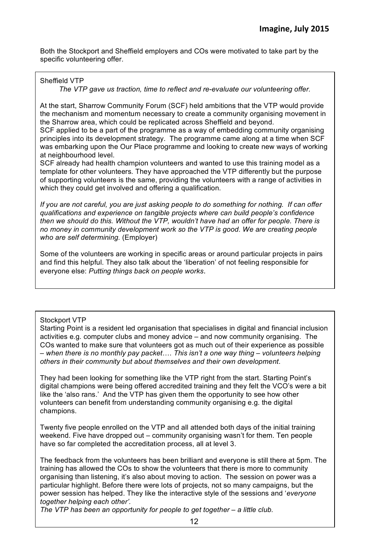Both the Stockport and Sheffield employers and COs were motivated to take part by the specific volunteering offer.

# Sheffield VTP

#### *The VTP gave us traction, time to reflect and re-evaluate our volunteering offer.*

At the start, Sharrow Community Forum (SCF) held ambitions that the VTP would provide the mechanism and momentum necessary to create a community organising movement in the Sharrow area, which could be replicated across Sheffield and beyond.

SCF applied to be a part of the programme as a way of embedding community organising principles into its development strategy. The programme came along at a time when SCF was embarking upon the Our Place programme and looking to create new ways of working at neighbourhood level.

SCF already had health champion volunteers and wanted to use this training model as a template for other volunteers. They have approached the VTP differently but the purpose of supporting volunteers is the same, providing the volunteers with a range of activities in which they could get involved and offering a qualification.

*If you are not careful, you are just asking people to do something for nothing. If can offer qualifications and experience on tangible projects where can build people's confidence then we should do this. Without the VTP, wouldn't have had an offer for people. There is no money in community development work so the VTP is good. We are creating people who are self determining.* (Employer)

Some of the volunteers are working in specific areas or around particular projects in pairs and find this helpful. They also talk about the 'liberation' of not feeling responsible for everyone else: *Putting things back on people works*.

# Stockport VTP

Starting Point is a resident led organisation that specialises in digital and financial inclusion activities e.g. computer clubs and money advice – and now community organising. The COs wanted to make sure that volunteers got as much out of their experience as possible – *when there is no monthly pay packet*…. *This isn't a one way thing – volunteers helping others in their community but about themselves and their own development*.

They had been looking for something like the VTP right from the start. Starting Point's digital champions were being offered accredited training and they felt the VCO's were a bit like the 'also rans.' And the VTP has given them the opportunity to see how other volunteers can benefit from understanding community organising e.g. the digital champions.

Twenty five people enrolled on the VTP and all attended both days of the initial training weekend. Five have dropped out – community organising wasn't for them. Ten people have so far completed the accreditation process, all at level 3.

The feedback from the volunteers has been brilliant and everyone is still there at 5pm. The training has allowed the COs to show the volunteers that there is more to community organising than listening, it's also about moving to action. The session on power was a particular highlight. Before there were lots of projects, not so many campaigns, but the power session has helped. They like the interactive style of the sessions and '*everyone together helping each other'.*

*The VTP has been an opportunity for people to get together – a little club.*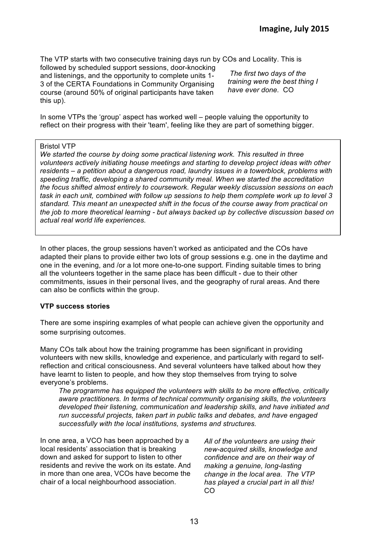The VTP starts with two consecutive training days run by COs and Locality. This is

followed by scheduled support sessions, door-knocking and listenings, and the opportunity to complete units 1- 3 of the CERTA Foundations in Community Organising course (around 50% of original participants have taken this up).

*The first two days of the training were the best thing I have ever done.* CO

In some VTPs the 'group' aspect has worked well – people valuing the opportunity to reflect on their progress with their 'team', feeling like they are part of something bigger.

#### Bristol VTP

*We started the course by doing some practical listening work. This resulted in three volunteers actively initiating house meetings and starting to develop project ideas with other residents – a petition about a dangerous road, laundry issues in a towerblock, problems with speeding traffic, developing a shared community meal. When we started the accreditation the focus shifted almost entirely to coursework. Regular weekly discussion sessions on each task in each unit, combined with follow up sessions to help them complete work up to level 3 standard. This meant an unexpected shift in the focus of the course away from practical on the job to more theoretical learning - but always backed up by collective discussion based on actual real world life experiences.* 

In other places, the group sessions haven't worked as anticipated and the COs have adapted their plans to provide either two lots of group sessions e.g. one in the daytime and one in the evening, and /or a lot more one-to-one support. Finding suitable times to bring all the volunteers together in the same place has been difficult - due to their other commitments, issues in their personal lives, and the geography of rural areas. And there can also be conflicts within the group.

#### **VTP success stories**

There are some inspiring examples of what people can achieve given the opportunity and some surprising outcomes.

Many COs talk about how the training programme has been significant in providing volunteers with new skills, knowledge and experience, and particularly with regard to selfreflection and critical consciousness. And several volunteers have talked about how they have learnt to listen to people, and how they stop themselves from trying to solve everyone's problems.

*The programme has equipped the volunteers with skills to be more effective, critically aware practitioners. In terms of technical community organising skills, the volunteers developed their listening, communication and leadership skills, and have initiated and run successful projects, taken part in public talks and debates, and have engaged successfully with the local institutions, systems and structures.* 

In one area, a VCO has been approached by a local residents' association that is breaking down and asked for support to listen to other residents and revive the work on its estate. And in more than one area, VCOs have become the chair of a local neighbourhood association.

*All of the volunteers are using their new-acquired skills, knowledge and confidence and are on their way of making a genuine, long-lasting change in the local area. The VTP has played a crucial part in all this!* CO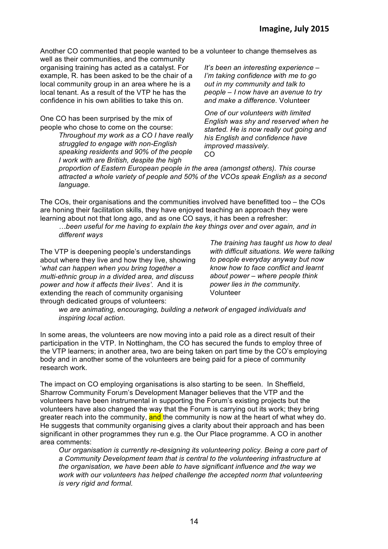Another CO commented that people wanted to be a volunteer to change themselves as

well as their communities, and the community organising training has acted as a catalyst. For example, R. has been asked to be the chair of a local community group in an area where he is a local tenant. As a result of the VTP he has the confidence in his own abilities to take this on.

One CO has been surprised by the mix of people who chose to come on the course:

> *Throughout my work as a CO I have really struggled to engage with non-English speaking residents and 90% of the people I work with are British, despite the high*

*It's been an interesting experience – I'm taking confidence with me to go out in my community and talk to people – I now have an avenue to try and make a difference.* Volunteer

*One of our volunteers with limited English was shy and reserved when he started. He is now really out going and his English and confidence have improved massively.*  CO

*proportion of Eastern European people in the area (amongst others). This course attracted a whole variety of people and 50% of the VCOs speak English as a second language.*

The COs, their organisations and the communities involved have benefitted too – the COs are honing their facilitation skills, they have enjoyed teaching an approach they were learning about not that long ago, and as one CO says, it has been a refresher:

*…been useful for me having to explain the key things over and over again, and in different ways* 

The VTP is deepening people's understandings about where they live and how they live, showing '*what can happen when you bring together a multi-ethnic group in a divided area, and discuss power and how it affects their lives'*. And it is extending the reach of community organising through dedicated groups of volunteers:

*The training has taught us how to deal with difficult situations. We were talking to people everyday anyway but now know how to face conflict and learnt about power – where people think power lies in the community.* Volunteer

*we are animating, encouraging, building a network of engaged individuals and inspiring local action.*

In some areas, the volunteers are now moving into a paid role as a direct result of their participation in the VTP. In Nottingham, the CO has secured the funds to employ three of the VTP learners; in another area, two are being taken on part time by the CO's employing body and in another some of the volunteers are being paid for a piece of community research work.

The impact on CO employing organisations is also starting to be seen. In Sheffield, Sharrow Community Forum's Development Manager believes that the VTP and the volunteers have been instrumental in supporting the Forum's existing projects but the volunteers have also changed the way that the Forum is carrying out its work; they bring greater reach into the community, and the community is now at the heart of what whey do. He suggests that community organising gives a clarity about their approach and has been significant in other programmes they run e.g. the Our Place programme. A CO in another area comments:

*Our organisation is currently re-designing its volunteering policy. Being a core part of a Community Development team that is central to the volunteering infrastructure at the organisation, we have been able to have significant influence and the way we work with our volunteers has helped challenge the accepted norm that volunteering is very rigid and formal.*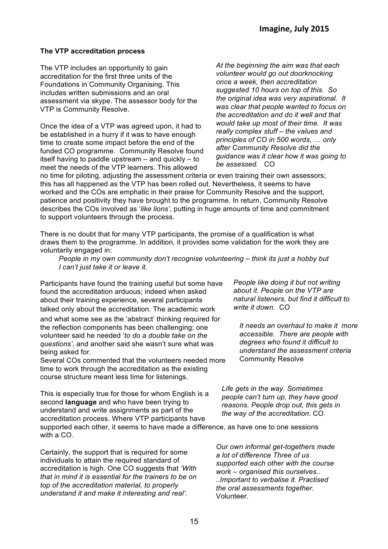### **The VTP accreditation process**

The VTP includes an opportunity to gain accreditation for the first three units of the Foundations in Community Organising. This includes written submissions and an oral assessment via skype. The assessor body for the VTP is Community Resolve.

Once the idea of a VTP was agreed upon, it had to be established in a hurry if it was to have enough time to create some impact before the end of the funded CO programme. Community Resolve found itself having to paddle upstream – and quickly – to meet the needs of the VTP learners. This allowed

*At the beginning the aim was that each volunteer would go out doorknocking once a week, then accreditation suggested 10 hours on top of this. So the original idea was very aspirational. It was clear that people wanted to focus on the accreditation and do it well and that would take up most of their time. It was really complex stuff – the values and principles of CO in 500 words, … only after Community Resolve did the guidance was it clear how it was going to be assessed.* CO

no time for piloting, adjusting the assessment criteria or even training their own assessors; this has all happened as the VTP has been rolled out. Nevertheless, it seems to have worked and the COs are emphatic in their praise for Community Resolve and the support, patience and positivity they have brought to the programme. In return, Community Resolve describes the COs involved as '*like lions'*, putting in huge amounts of time and commitment to support volunteers through the process.

There is no doubt that for many VTP participants, the promise of a qualification is what draws them to the programme. In addition, it provides some validation for the work they are voluntarily engaged in:

*People in my own community don't recognise volunteering – think its just a hobby but I can't just take it or leave it.* 

Participants have found the training useful but some have found the accreditation arduous; indeed when asked about their training experience, several participants talked only about the accreditation. The academic work and what some see as the 'abstract' thinking required for the reflection components has been challenging; one volunteer said he needed '*to do a double take on the questions'*, and another said she wasn't sure what was being asked for.

Several COs commented that the volunteers needed more time to work through the accreditation as the existing course structure meant less time for listenings.

This is especially true for those for whom English is a second **language** and who have been trying to understand and write assignments as part of the accreditation process. Where VTP participants have supported each other, it seems to have made a difference, as have one to one sessions with a CO.

Certainly, the support that is required for some individuals to attain the required standard of accreditation is high. One CO suggests that *'With that in mind it is essential for the trainers to be on top of the accreditation material, to properly understand it and make it interesting and real'.*

*People like doing it but not writing about it. People on the VTP are natural listeners, but find it difficult to write it down.* CO

*It needs an overhaul to make it more accessible. There are people with degrees who found it difficult to understand the assessment criteria*  Community Resolve

*Life gets in the way. Sometimes people can't turn up, they have good reasons. People drop out, this gets in the way of the accreditation.* CO

*Our own informal get-togethers made a lot of difference Three of us supported each other with the course work – organised this ourselves.. ..Important to verbalise it. Practised the oral assessments together.*  Volunteer.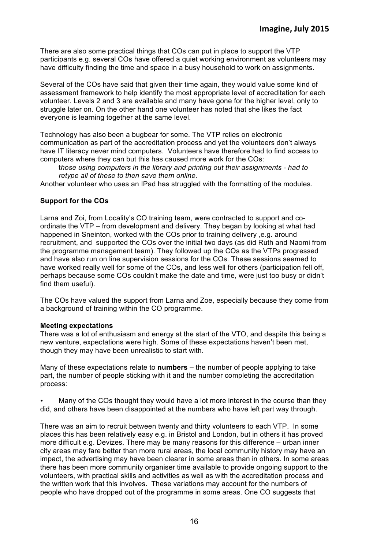There are also some practical things that COs can put in place to support the VTP participants e.g. several COs have offered a quiet working environment as volunteers may have difficulty finding the time and space in a busy household to work on assignments.

Several of the COs have said that given their time again, they would value some kind of assessment framework to help identify the most appropriate level of accreditation for each volunteer. Levels 2 and 3 are available and many have gone for the higher level, only to struggle later on. On the other hand one volunteer has noted that she likes the fact everyone is learning together at the same level.

Technology has also been a bugbear for some. The VTP relies on electronic communication as part of the accreditation process and yet the volunteers don't always have IT literacy never mind computers. Volunteers have therefore had to find access to computers where they can but this has caused more work for the COs:

t*hose using computers in the library and printing out their assignments - had to retype all of these to then save them online.* 

Another volunteer who uses an IPad has struggled with the formatting of the modules.

#### **Support for the COs**

Larna and Zoi, from Locality's CO training team, were contracted to support and coordinate the VTP – from development and delivery. They began by looking at what had happened in Sneinton, worked with the COs prior to training delivery ,e.g. around recruitment, and supported the COs over the initial two days (as did Ruth and Naomi from the programme management team). They followed up the COs as the VTPs progressed and have also run on line supervision sessions for the COs. These sessions seemed to have worked really well for some of the COs, and less well for others (participation fell off, perhaps because some COs couldn't make the date and time, were just too busy or didn't find them useful).

The COs have valued the support from Larna and Zoe, especially because they come from a background of training within the CO programme.

#### **Meeting expectations**

There was a lot of enthusiasm and energy at the start of the VTO, and despite this being a new venture, expectations were high. Some of these expectations haven't been met, though they may have been unrealistic to start with.

Many of these expectations relate to **numbers** – the number of people applying to take part, the number of people sticking with it and the number completing the accreditation process:

• Many of the COs thought they would have a lot more interest in the course than they did, and others have been disappointed at the numbers who have left part way through.

There was an aim to recruit between twenty and thirty volunteers to each VTP. In some places this has been relatively easy e.g. in Bristol and London, but in others it has proved more difficult e.g. Devizes. There may be many reasons for this difference – urban inner city areas may fare better than more rural areas, the local community history may have an impact, the advertising may have been clearer in some areas than in others. In some areas there has been more community organiser time available to provide ongoing support to the volunteers, with practical skills and activities as well as with the accreditation process and the written work that this involves. These variations may account for the numbers of people who have dropped out of the programme in some areas. One CO suggests that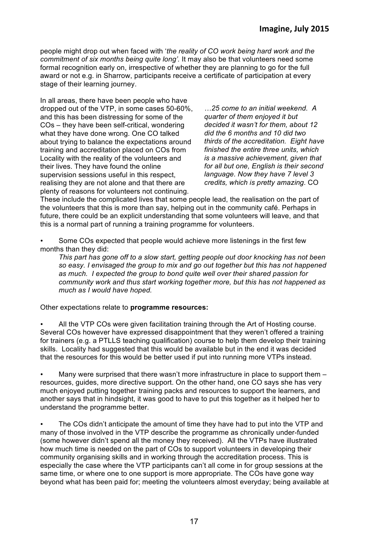people might drop out when faced with '*the reality of CO work being hard work and the commitment of six months being quite long'.* It may also be that volunteers need some formal recognition early on, irrespective of whether they are planning to go for the full award or not e.g. in Sharrow, participants receive a certificate of participation at every stage of their learning journey.

In all areas, there have been people who have dropped out of the VTP, in some cases 50-60%, and this has been distressing for some of the COs – they have been self-critical, wondering what they have done wrong. One CO talked about trying to balance the expectations around training and accreditation placed on COs from Locality with the reality of the volunteers and their lives. They have found the online supervision sessions useful in this respect, realising they are not alone and that there are plenty of reasons for volunteers not continuing.

*…25 come to an initial weekend. A quarter of them enjoyed it but decided it wasn't for them, about 12 did the 6 months and 10 did two thirds of the accreditation. Eight have finished the entire three units, which is a massive achievement, given that for all but one, English is their second language. Now they have 7 level 3 credits, which is pretty amazing.* CO

These include the complicated lives that some people lead, the realisation on the part of the volunteers that this is more than say, helping out in the community café. Perhaps in future, there could be an explicit understanding that some volunteers will leave, and that this is a normal part of running a training programme for volunteers.

• Some COs expected that people would achieve more listenings in the first few months than they did:

*This part has gone off to a slow start, getting people out door knocking has not been so easy. I envisaged the group to mix and go out together but this has not happened as much. I expected the group to bond quite well over their shared passion for community work and thus start working together more, but this has not happened as much as I would have hoped.* 

Other expectations relate to **programme resources:**

• All the VTP COs were given facilitation training through the Art of Hosting course. Several COs however have expressed disappointment that they weren't offered a training for trainers (e.g. a PTLLS teaching qualification) course to help them develop their training skills. Locality had suggested that this would be available but in the end it was decided that the resources for this would be better used if put into running more VTPs instead.

Many were surprised that there wasn't more infrastructure in place to support them resources, guides, more directive support. On the other hand, one CO says she has very much enjoyed putting together training packs and resources to support the learners, and another says that in hindsight, it was good to have to put this together as it helped her to understand the programme better.

The COs didn't anticipate the amount of time they have had to put into the VTP and many of those involved in the VTP describe the programme as chronically under-funded (some however didn't spend all the money they received). All the VTPs have illustrated how much time is needed on the part of COs to support volunteers in developing their community organising skills and in working through the accreditation process. This is especially the case where the VTP participants can't all come in for group sessions at the same time, or where one to one support is more appropriate. The COs have gone way beyond what has been paid for; meeting the volunteers almost everyday; being available at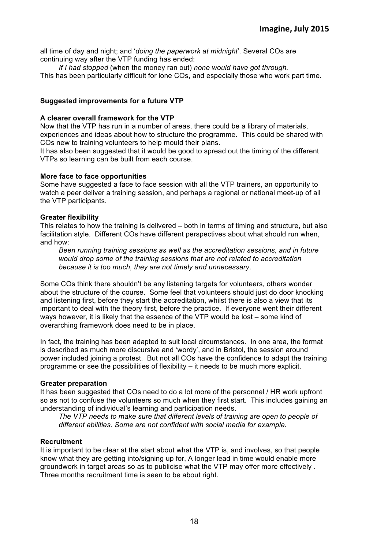all time of day and night; and '*doing the paperwork at midnight*'. Several COs are continuing way after the VTP funding has ended:

*If I had stopped* (when the money ran out) *none would have got through.* This has been particularly difficult for lone COs, and especially those who work part time.

#### **Suggested improvements for a future VTP**

#### **A clearer overall framework for the VTP**

Now that the VTP has run in a number of areas, there could be a library of materials, experiences and ideas about how to structure the programme. This could be shared with COs new to training volunteers to help mould their plans.

It has also been suggested that it would be good to spread out the timing of the different VTPs so learning can be built from each course.

#### **More face to face opportunities**

Some have suggested a face to face session with all the VTP trainers, an opportunity to watch a peer deliver a training session, and perhaps a regional or national meet-up of all the VTP participants.

#### **Greater flexibility**

This relates to how the training is delivered – both in terms of timing and structure, but also facilitation style. Different COs have different perspectives about what should run when, and how:

*Been running training sessions as well as the accreditation sessions, and in future would drop some of the training sessions that are not related to accreditation because it is too much, they are not timely and unnecessary*.

Some COs think there shouldn't be any listening targets for volunteers, others wonder about the structure of the course. Some feel that volunteers should just do door knocking and listening first, before they start the accreditation, whilst there is also a view that its important to deal with the theory first, before the practice. If everyone went their different ways however, it is likely that the essence of the VTP would be lost – some kind of overarching framework does need to be in place.

In fact, the training has been adapted to suit local circumstances. In one area, the format is described as much more discursive and 'wordy', and in Bristol, the session around power included joining a protest. But not all COs have the confidence to adapt the training programme or see the possibilities of flexibility – it needs to be much more explicit.

# **Greater preparation**

It has been suggested that COs need to do a lot more of the personnel / HR work upfront so as not to confuse the volunteers so much when they first start. This includes gaining an understanding of individual's learning and participation needs.

*The VTP needs to make sure that different levels of training are open to people of different abilities. Some are not confident with social media for example.* 

# **Recruitment**

It is important to be clear at the start about what the VTP is, and involves, so that people know what they are getting into/signing up for, A longer lead in time would enable more groundwork in target areas so as to publicise what the VTP may offer more effectively . Three months recruitment time is seen to be about right.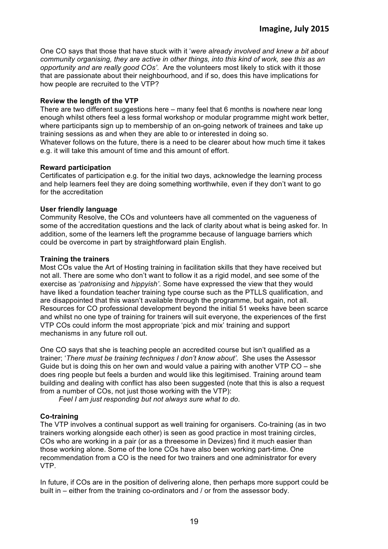One CO says that those that have stuck with it '*were already involved and knew a bit about community organising, they are active in other things, into this kind of work, see this as an opportunity and are really good COs'*. Are the volunteers most likely to stick with it those that are passionate about their neighbourhood, and if so, does this have implications for how people are recruited to the VTP?

### **Review the length of the VTP**

There are two different suggestions here – many feel that 6 months is nowhere near long enough whilst others feel a less formal workshop or modular programme might work better, where participants sign up to membership of an on-going network of trainees and take up training sessions as and when they are able to or interested in doing so.

Whatever follows on the future, there is a need to be clearer about how much time it takes e.g. it will take this amount of time and this amount of effort.

#### **Reward participation**

Certificates of participation e.g. for the initial two days, acknowledge the learning process and help learners feel they are doing something worthwhile, even if they don't want to go for the accreditation

#### **User friendly language**

Community Resolve, the COs and volunteers have all commented on the vagueness of some of the accreditation questions and the lack of clarity about what is being asked for. In addition, some of the learners left the programme because of language barriers which could be overcome in part by straightforward plain English.

#### **Training the trainers**

Most COs value the Art of Hosting training in facilitation skills that they have received but not all. There are some who don't want to follow it as a rigid model, and see some of the exercise as '*patronising* and *hippyish'*. Some have expressed the view that they would have liked a foundation teacher training type course such as the PTLLS qualification, and are disappointed that this wasn't available through the programme, but again, not all. Resources for CO professional development beyond the initial 51 weeks have been scarce and whilst no one type of training for trainers will suit everyone, the experiences of the first VTP COs could inform the most appropriate 'pick and mix' training and support mechanisms in any future roll out.

One CO says that she is teaching people an accredited course but isn't qualified as a trainer; '*There must be training techniques I don't know about'.* She uses the Assessor Guide but is doing this on her own and would value a pairing with another  $VTPCO - she$ does ring people but feels a burden and would like this legitimised. Training around team building and dealing with conflict has also been suggested (note that this is also a request from a number of COs, not just those working with the VTP):

*Feel I am just responding but not always sure what to do.* 

# **Co-training**

The VTP involves a continual support as well training for organisers. Co-training (as in two trainers working alongside each other) is seen as good practice in most training circles, COs who are working in a pair (or as a threesome in Devizes) find it much easier than those working alone. Some of the lone COs have also been working part-time. One recommendation from a CO is the need for two trainers and one administrator for every VTP.

In future, if COs are in the position of delivering alone, then perhaps more support could be built in – either from the training co-ordinators and / or from the assessor body.